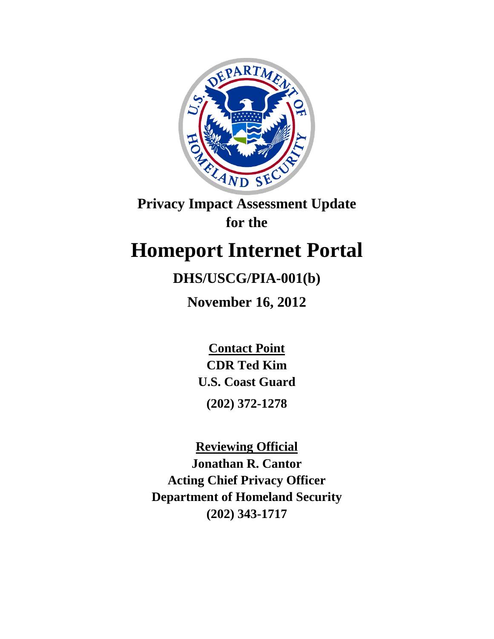

**Privacy Impact Assessment Update for the**

# **Homeport Internet Portal**

## **DHS/USCG/PIA-001(b)**

**November 16, 2012**

**Contact Point CDR Ted Kim U.S. Coast Guard (202) 372-1278**

**Reviewing Official Jonathan R. Cantor Acting Chief Privacy Officer Department of Homeland Security (202) 343-1717**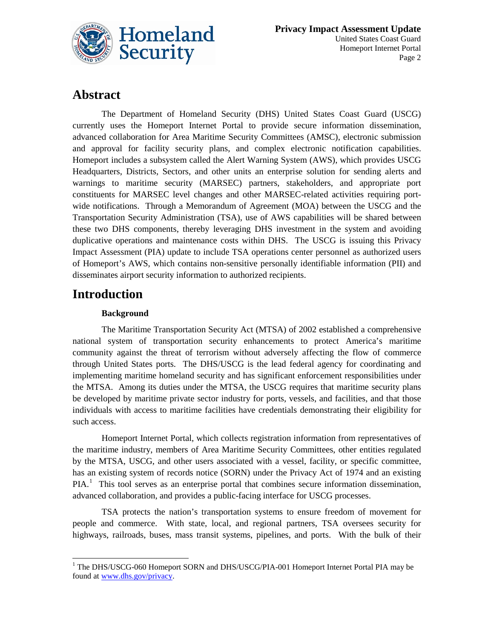

### **Abstract**

The Department of Homeland Security (DHS) United States Coast Guard (USCG) currently uses the Homeport Internet Portal to provide secure information dissemination, advanced collaboration for Area Maritime Security Committees (AMSC), electronic submission and approval for facility security plans, and complex electronic notification capabilities. Homeport includes a subsystem called the Alert Warning System (AWS), which provides USCG Headquarters, Districts, Sectors, and other units an enterprise solution for sending alerts and warnings to maritime security (MARSEC) partners, stakeholders, and appropriate port constituents for MARSEC level changes and other MARSEC-related activities requiring portwide notifications. Through a Memorandum of Agreement (MOA) between the USCG and the Transportation Security Administration (TSA), use of AWS capabilities will be shared between these two DHS components, thereby leveraging DHS investment in the system and avoiding duplicative operations and maintenance costs within DHS. The USCG is issuing this Privacy Impact Assessment (PIA) update to include TSA operations center personnel as authorized users of Homeport's AWS, which contains non-sensitive personally identifiable information (PII) and disseminates airport security information to authorized recipients.

### **Introduction**

#### **Background**

The Maritime Transportation Security Act (MTSA) of 2002 established a comprehensive national system of transportation security enhancements to protect America's maritime community against the threat of terrorism without adversely affecting the flow of commerce through United States ports. The DHS/USCG is the lead federal agency for coordinating and implementing maritime homeland security and has significant enforcement responsibilities under the MTSA. Among its duties under the MTSA, the USCG requires that maritime security plans be developed by maritime private sector industry for ports, vessels, and facilities, and that those individuals with access to maritime facilities have credentials demonstrating their eligibility for such access.

Homeport Internet Portal, which collects registration information from representatives of the maritime industry, members of Area Maritime Security Committees, other entities regulated by the MTSA, USCG, and other users associated with a vessel, facility, or specific committee, has an existing system of records notice (SORN) under the Privacy Act of 1974 and an existing PIA.<sup>[1](#page-1-0)</sup> This tool serves as an enterprise portal that combines secure information dissemination, advanced collaboration, and provides a public-facing interface for USCG processes.

TSA protects the nation's transportation systems to ensure freedom of movement for people and commerce. With state, local, and regional partners, TSA oversees security for highways, railroads, buses, mass transit systems, pipelines, and ports. With the bulk of their

<span id="page-1-0"></span> $\overline{a}$ <sup>1</sup> The DHS/USCG-060 Homeport SORN and DHS/USCG/PIA-001 Homeport Internet Portal PIA may be found a[t www.dhs.gov/privacy.](http://www.dhs.gov/privacy)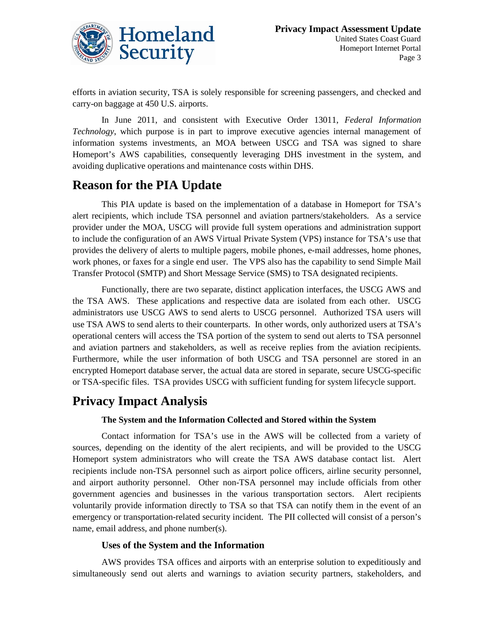

efforts in aviation security, TSA is solely responsible for screening passengers, and checked and carry-on baggage at 450 U.S. airports.

In June 2011, and consistent with Executive Order 13011, *Federal Information Technology*, which purpose is in part to improve executive agencies internal management of information systems investments, an MOA between USCG and TSA was signed to share Homeport's AWS capabilities, consequently leveraging DHS investment in the system, and avoiding duplicative operations and maintenance costs within DHS.

### **Reason for the PIA Update**

This PIA update is based on the implementation of a database in Homeport for TSA's alert recipients, which include TSA personnel and aviation partners/stakeholders. As a service provider under the MOA, USCG will provide full system operations and administration support to include the configuration of an AWS Virtual Private System (VPS) instance for TSA's use that provides the delivery of alerts to multiple pagers, mobile phones, e-mail addresses, home phones, work phones, or faxes for a single end user. The VPS also has the capability to send Simple Mail Transfer Protocol (SMTP) and Short Message Service (SMS) to TSA designated recipients.

Functionally, there are two separate, distinct application interfaces, the USCG AWS and the TSA AWS. These applications and respective data are isolated from each other. USCG administrators use USCG AWS to send alerts to USCG personnel. Authorized TSA users will use TSA AWS to send alerts to their counterparts. In other words, only authorized users at TSA's operational centers will access the TSA portion of the system to send out alerts to TSA personnel and aviation partners and stakeholders, as well as receive replies from the aviation recipients. Furthermore, while the user information of both USCG and TSA personnel are stored in an encrypted Homeport database server, the actual data are stored in separate, secure USCG-specific or TSA-specific files. TSA provides USCG with sufficient funding for system lifecycle support.

### **Privacy Impact Analysis**

#### **The System and the Information Collected and Stored within the System**

Contact information for TSA's use in the AWS will be collected from a variety of sources, depending on the identity of the alert recipients, and will be provided to the USCG Homeport system administrators who will create the TSA AWS database contact list. Alert recipients include non-TSA personnel such as airport police officers, airline security personnel, and airport authority personnel. Other non-TSA personnel may include officials from other government agencies and businesses in the various transportation sectors. Alert recipients voluntarily provide information directly to TSA so that TSA can notify them in the event of an emergency or transportation-related security incident. The PII collected will consist of a person's name, email address, and phone number(s).

#### **Uses of the System and the Information**

AWS provides TSA offices and airports with an enterprise solution to expeditiously and simultaneously send out alerts and warnings to aviation security partners, stakeholders, and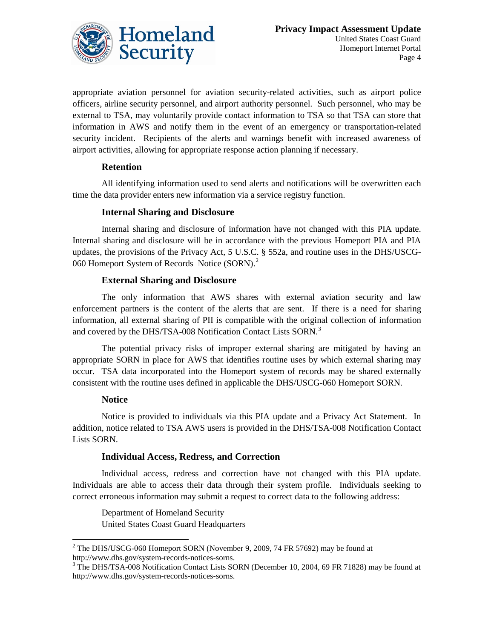

appropriate aviation personnel for aviation security-related activities, such as airport police officers, airline security personnel, and airport authority personnel. Such personnel, who may be external to TSA, may voluntarily provide contact information to TSA so that TSA can store that information in AWS and notify them in the event of an emergency or transportation-related security incident. Recipients of the alerts and warnings benefit with increased awareness of airport activities, allowing for appropriate response action planning if necessary.

#### **Retention**

All identifying information used to send alerts and notifications will be overwritten each time the data provider enters new information via a service registry function.

#### **Internal Sharing and Disclosure**

Internal sharing and disclosure of information have not changed with this PIA update. Internal sharing and disclosure will be in accordance with the previous Homeport PIA and PIA updates, the provisions of the Privacy Act, 5 U.S.C. § 552a, and routine uses in the DHS/USCG-060 Homeport System of Records Notice (SORN).<sup>[2](#page-3-0)</sup>

#### **External Sharing and Disclosure**

The only information that AWS shares with external aviation security and law enforcement partners is the content of the alerts that are sent. If there is a need for sharing information, all external sharing of PII is compatible with the original collection of information and covered by the DHS/TSA-008 Notification Contact Lists SORN.<sup>[3](#page-3-1)</sup>

The potential privacy risks of improper external sharing are mitigated by having an appropriate SORN in place for AWS that identifies routine uses by which external sharing may occur. TSA data incorporated into the Homeport system of records may be shared externally consistent with the routine uses defined in applicable the DHS/USCG-060 Homeport SORN.

#### **Notice**

 $\overline{\phantom{a}}$ 

Notice is provided to individuals via this PIA update and a Privacy Act Statement. In addition, notice related to TSA AWS users is provided in the DHS/TSA-008 Notification Contact Lists SORN.

#### **Individual Access, Redress, and Correction**

Individual access, redress and correction have not changed with this PIA update. Individuals are able to access their data through their system profile. Individuals seeking to correct erroneous information may submit a request to correct data to the following address:

Department of Homeland Security United States Coast Guard Headquarters

<span id="page-3-0"></span> $^{2}$  The DHS/USCG-060 Homeport SORN (November 9, 2009, 74 FR 57692) may be found at http://www.dhs.gov/system-records-notices-sorns.<br><sup>3</sup> The DHS/TSA-008 Notification Contact Lists SORN (December 10, 2004, 69 FR 71828) may be found at

<span id="page-3-1"></span>http://www.dhs.gov/system-records-notices-sorns.